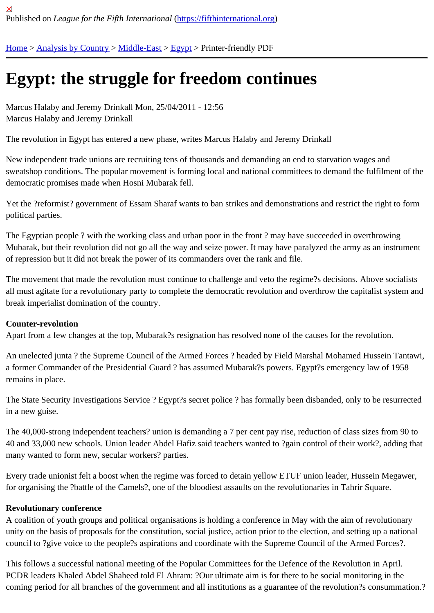## [Eg](https://fifthinternational.org/)y[pt: the str](https://fifthinternational.org/category/1)[uggle f](https://fifthinternational.org/category/1/178)[or fr](https://fifthinternational.org/category/1/178/181)eedom continues

Marcus Halaby and Jeremy Drinkall Mon, 25/04/2011 - 12:56 Marcus Halaby and Jeremy Drinkall

The revolution in Egypt has entered a new phase, writes Marcus Halaby and Jeremy Drinkall

New independent trade unions are recruiting tens of thousands and demanding an end to starvation wages and sweatshop conditions. The popular movement is forming local and national committees to demand the fulfilment o democratic promises made when Hosni Mubarak fell.

Yet the ?reformist? government of Essam Sharaf wants to ban strikes and demonstrations and restrict the right to political parties.

The Egyptian people ? with the working class and urban poor in the front ? may have succeeded in overthrowing Mubarak, but their revolution did not go all the way and seize power. It may have paralyzed the army as an instrun of repression but it did not break the power of its commanders over the rank and file.

The movement that made the revolution must continue to challenge and veto the regime?s decisions. Above socia all must agitate for a revolutionary party to complete the democratic revolution and overthrow the capitalist system break imperialist domination of the country.

## Counter-revolution

Apart from a few changes at the top, Mubarak?s resignation has resolved none of the causes for the revolution.

An unelected junta ? the Supreme Council of the Armed Forces ? headed by Field Marshal Mohamed Hussein Tai a former Commander of the Presidential Guard ? has assumed Mubarak?s powers. Egypt?s emergency law of 19 remains in place.

The State Security Investigations Service ? Egypt?s secret police ? has formally been disbanded, only to be resur in a new guise.

The 40,000-strong independent teachers? union is demanding a 7 per cent pay rise, reduction of class sizes from 40 and 33,000 new schools. Union leader Abdel Hafiz said teachers wanted to ?gain control of their work?, adding many wanted to form new, secular workers? parties.

Every trade unionist felt a boost when the regime was forced to detain yellow ETUF union leader, Hussein Megaw for organising the ?battle of the Camels?, one of the bloodiest assaults on the revolutionaries in Tahrir Square.

## Revolutionary conference

A coalition of youth groups and political organisations is holding a conference in May with the aim of revolutionary unity on the basis of proposals for the constitution, social justice, action prior to the election, and setting up a natio council to ?give voice to the people?s aspirations and coordinate with the Supreme Council of the Armed Forces?.

This follows a successful national meeting of the Popular Committees for the Defence of the Revolution in April. PCDR leaders Khaled Abdel Shaheed told El Ahram: ?Our ultimate aim is for there to be social monitoring in the coming period for all branches of the government and all institutions as a guarantee of the revolution?s consumma